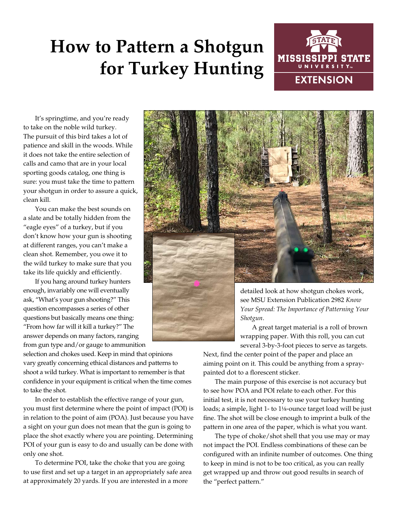## **How to Pattern a Shotgun for Turkey Hunting**



It's springtime, and you're ready to take on the noble wild turkey. The pursuit of this bird takes a lot of patience and skill in the woods. While it does not take the entire selection of calls and camo that are in your local sporting goods catalog, one thing is sure: you must take the time to pattern your shotgun in order to assure a quick, clean kill.

You can make the best sounds on a slate and be totally hidden from the "eagle eyes" of a turkey, but if you don't know how your gun is shooting at different ranges, you can't make a clean shot. Remember, you owe it to the wild turkey to make sure that you take its life quickly and efficiently.

If you hang around turkey hunters enough, invariably one will eventually ask, "What's your gun shooting?" This question encompasses a series of other questions but basically means one thing: "From how far will it kill a turkey?" The answer depends on many factors, ranging from gun type and/or gauge to ammunition

selection and chokes used. Keep in mind that opinions vary greatly concerning ethical distances and patterns to shoot a wild turkey. What is important to remember is that confidence in your equipment is critical when the time comes to take the shot.

In order to establish the effective range of your gun, you must first determine where the point of impact (POI) is in relation to the point of aim (POA). Just because you have a sight on your gun does not mean that the gun is going to place the shot exactly where you are pointing. Determining POI of your gun is easy to do and usually can be done with only one shot.

To determine POI, take the choke that you are going to use first and set up a target in an appropriately safe area at approximately 20 yards. If you are interested in a more



A great target material is a roll of brown wrapping paper. With this roll, you can cut several 3-by-3-foot pieces to serve as targets.

Next, find the center point of the paper and place an aiming point on it. This could be anything from a spraypainted dot to a florescent sticker.

The main purpose of this exercise is not accuracy but to see how POA and POI relate to each other. For this initial test, it is not necessary to use your turkey hunting loads; a simple, light 1- to 1<sup>1</sup>/<sub>8</sub>-ounce target load will be just fine. The shot will be close enough to imprint a bulk of the pattern in one area of the paper, which is what you want.

The type of choke/shot shell that you use may or may not impact the POI. Endless combinations of these can be configured with an infinite number of outcomes. One thing to keep in mind is not to be too critical, as you can really get wrapped up and throw out good results in search of the "perfect pattern."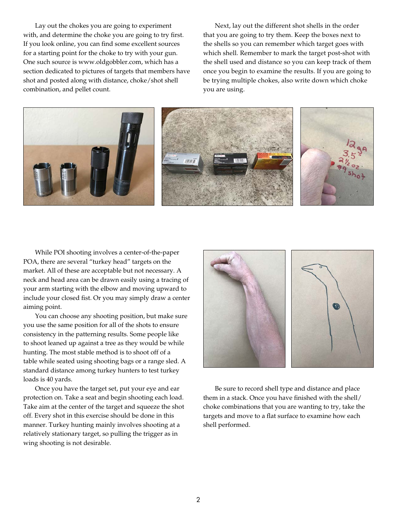Lay out the chokes you are going to experiment with, and determine the choke you are going to try first. If you look online, you can find some excellent sources for a starting point for the choke to try with your gun. One such source is www.oldgobbler.com, which has a section dedicated to pictures of targets that members have shot and posted along with distance, choke/shot shell combination, and pellet count.

Next, lay out the different shot shells in the order that you are going to try them. Keep the boxes next to the shells so you can remember which target goes with which shell. Remember to mark the target post-shot with the shell used and distance so you can keep track of them once you begin to examine the results. If you are going to be trying multiple chokes, also write down which choke you are using.



While POI shooting involves a center-of-the-paper POA, there are several "turkey head" targets on the market. All of these are acceptable but not necessary. A neck and head area can be drawn easily using a tracing of your arm starting with the elbow and moving upward to include your closed fist. Or you may simply draw a center aiming point.

You can choose any shooting position, but make sure you use the same position for all of the shots to ensure consistency in the patterning results. Some people like to shoot leaned up against a tree as they would be while hunting. The most stable method is to shoot off of a table while seated using shooting bags or a range sled. A standard distance among turkey hunters to test turkey loads is 40 yards.

Once you have the target set, put your eye and ear protection on. Take a seat and begin shooting each load. Take aim at the center of the target and squeeze the shot off. Every shot in this exercise should be done in this manner. Turkey hunting mainly involves shooting at a relatively stationary target, so pulling the trigger as in wing shooting is not desirable.



Be sure to record shell type and distance and place them in a stack. Once you have finished with the shell/ choke combinations that you are wanting to try, take the targets and move to a flat surface to examine how each shell performed.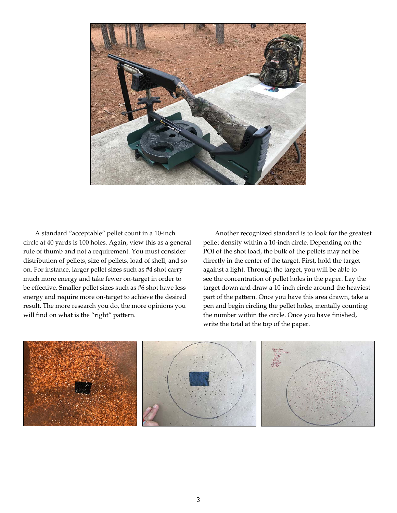

A standard "acceptable" pellet count in a 10-inch circle at 40 yards is 100 holes. Again, view this as a general rule of thumb and not a requirement. You must consider distribution of pellets, size of pellets, load of shell, and so on. For instance, larger pellet sizes such as #4 shot carry much more energy and take fewer on-target in order to be effective. Smaller pellet sizes such as #6 shot have less energy and require more on-target to achieve the desired result. The more research you do, the more opinions you will find on what is the "right" pattern.

Another recognized standard is to look for the greatest pellet density within a 10-inch circle. Depending on the POI of the shot load, the bulk of the pellets may not be directly in the center of the target. First, hold the target against a light. Through the target, you will be able to see the concentration of pellet holes in the paper. Lay the target down and draw a 10-inch circle around the heaviest part of the pattern. Once you have this area drawn, take a pen and begin circling the pellet holes, mentally counting the number within the circle. Once you have finished, write the total at the top of the paper.